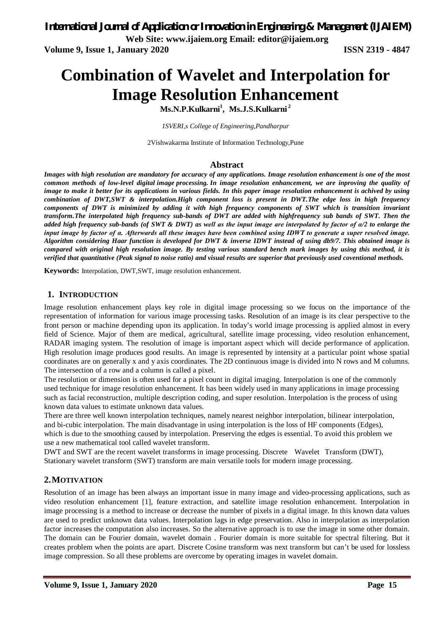**Volume 9, Issue 1, January 2020 ISSN 2319 - 4847**

# **Combination of Wavelet and Interpolation for Image Resolution Enhancement**

**Ms.N.P.Kulkarni<sup>1</sup> , Ms.J.S.Kulkarni <sup>2</sup>**

*1SVERI,s College of Engineering,Pandharpur*

2Vishwakarma Institute of Information Technology,Pune

#### **Abstract**

*Images with high resolution are mandatory for accuracy of any applications. Image resolution enhancement is one of the most common methods of low-level digital image processing. In image resolution enhancement, we are inproving the quality of image to make it better for its applications in various fields. In this paper image resolution enhancement is achived by using combination of DWT,SWT & interpolation.High component loss is present in DWT.The edge loss in high frequency components of DWT is minimized by adding it with high frequency components of SWT which is transition invariant transform.The interpolated high frequency sub-bands of DWT are added with highfrequency sub bands of SWT. Then the added high frequency sub-bands (of SWT & DWT) as well as the input image are interpolated by factor of α/2 to enlarge the input image by factor of α. Afterwards all these images have been combined using IDWT to generate a super resolved image. Algorithm considering Haar function is developed for DWT & inverse IDWT instead of using db9/7. This obtained image is compared with original high resolution image. By testing various standard bench mark images by using this method, it is verified that quantitative (Peak signal to noise ratio) and visual results are superior that previously used coventional methods.*

**Keywords:** Interpolation, DWT,SWT, image resolution enhancement.

#### **1. INTRODUCTION**

Image resolution enhancement plays key role in digital image processing so we focus on the importance of the representation of information for various image processing tasks. Resolution of an image is its clear perspective to the front person or machine depending upon its application. In today's world image processing is applied almost in every field of Science. Major of them are medical, agricultural, satellite image processing, video resolution enhancement, RADAR imaging system. The resolution of image is important aspect which will decide performance of application. High resolution image produces good results. An image is represented by intensity at a particular point whose spatial coordinates are on generally x and y axis coordinates. The 2D continuous image is divided into N rows and M columns. The intersection of a row and a column is called a pixel.

The resolution or dimension is often used for a pixel count in digital imaging. Interpolation is one of the commonly used technique for image resolution enhancement. It has been widely used in many applications in image processing such as facial reconstruction, multiple description coding, and super resolution. Interpolation is the process of using known data values to estimate unknown data values.

There are three well known interpolation techniques, namely nearest neighbor interpolation, bilinear interpolation, and bi-cubic interpolation. The main disadvantage in using interpolation is the loss of HF components (Edges), which is due to the smoothing caused by interpolation. Preserving the edges is essential. To avoid this problem we use a new mathematical tool called wavelet transform.

DWT and SWT are the recent wavelet transforms in image processing. Discrete Wavelet Transform (DWT), Stationary wavelet transform (SWT) transform are main versatile tools for modern image processing.

#### **2.MOTIVATION**

Resolution of an image has been always an important issue in many image and video-processing applications, such as video resolution enhancement [1], feature extraction, and satellite image resolution enhancement. Interpolation in image processing is a method to increase or decrease the number of pixels in a digital image. In this known data values are used to predict unknown data values. Interpolation lags in edge preservation. Also in interpolation as interpolation factor increases the computation also increases. So the alternative approach is to use the image in some other domain. The domain can be Fourier domain, wavelet domain . Fourier domain is more suitable for spectral filtering. But it creates problem when the points are apart. Discrete Cosine transform was next transform but can't be used for lossless image compression. So all these problems are overcome by operating images in wavelet domain.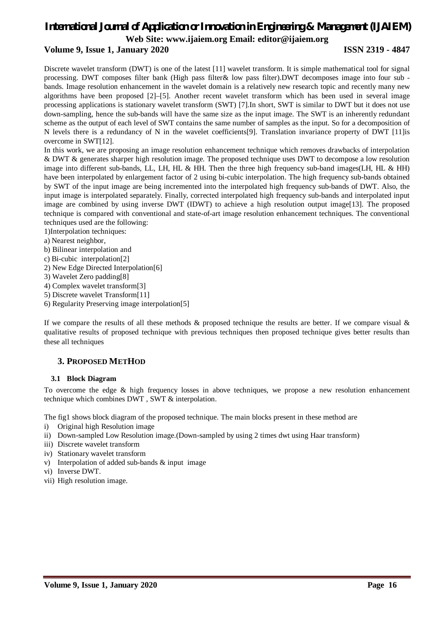### *International Journal of Application or Innovation in Engineering & Management (IJAIEM)* **Web Site: [www.ijaiem.org](http://www.ijaiem.org) Email: [editor@ijaiem.org](mailto:editor@ijaiem.org)**

### **Volume 9, Issue 1, January 2020 ISSN 2319 - 4847**

Discrete wavelet transform (DWT) is one of the latest [11] wavelet transform. It is simple mathematical tool for signal processing. DWT composes filter bank (High pass filter& low pass filter).DWT decomposes image into four sub bands. Image resolution enhancement in the wavelet domain is a relatively new research topic and recently many new algorithms have been proposed [2]–[5]. Another recent wavelet transform which has been used in several image processing applications is stationary wavelet transform (SWT) [7].In short, SWT is similar to DWT but it does not use down-sampling, hence the sub-bands will have the same size as the input image. The SWT is an inherently redundant scheme as the output of each level of SWT contains the same number of samples as the input. So for a decomposition of N levels there is a redundancy of N in the wavelet coefficients[9]. Translation invariance property of DWT [11]is overcome in SWT[12].

In this work, we are proposing an image resolution enhancement technique which removes drawbacks of interpolation & DWT & generates sharper high resolution image. The proposed technique uses DWT to decompose a low resolution image into different sub-bands, LL, LH, HL & HH. Then the three high frequency sub-band images(LH, HL & HH) have been interpolated by enlargement factor of 2 using bi-cubic interpolation. The high frequency sub-bands obtained by SWT of the input image are being incremented into the interpolated high frequency sub-bands of DWT. Also, the input image is interpolated separately. Finally, corrected interpolated high frequency sub-bands and interpolated input image are combined by using inverse DWT (IDWT) to achieve a high resolution output image[13]. The proposed technique is compared with conventional and state-of-art image resolution enhancement techniques. The conventional techniques used are the following:

1)Interpolation techniques:

- a) Nearest neighbor,
- b) Bilinear interpolation and
- c) Bi-cubic interpolation[2]
- 2) New Edge Directed Interpolation[6]
- 3) Wavelet Zero padding[8]
- 4) Complex wavelet transform[3]

5) Discrete wavelet Transform[11]

6) Regularity Preserving image interpolation[5]

If we compare the results of all these methods  $\&$  proposed technique the results are better. If we compare visual  $\&$ qualitative results of proposed technique with previous techniques then proposed technique gives better results than these all techniques

#### **3. PROPOSED METHOD**

#### **3.1 Block Diagram**

To overcome the edge & high frequency losses in above techniques, we propose a new resolution enhancement technique which combines DWT , SWT & interpolation.

The fig1 shows block diagram of the proposed technique. The main blocks present in these method are

- i) Original high Resolution image
- ii) Down-sampled Low Resolution image.(Down-sampled by using 2 times dwt using Haar transform)
- iii) Discrete wavelet transform
- iv) Stationary wavelet transform
- v) Interpolation of added sub-bands & input image
- vi) Inverse DWT.
- vii) High resolution image.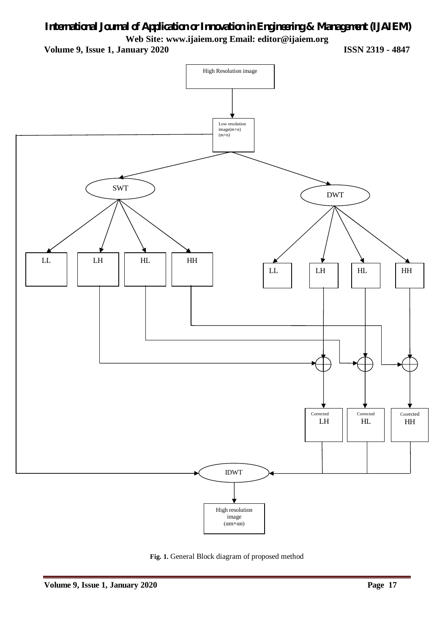## *International Journal of Application or Innovation in Engineering & Management (IJAIEM)* **Web Site: [www.ijaiem.org](http://www.ijaiem.org) Email: [editor@ijaiem.org](mailto:editor@ijaiem.org)**

**Volume 9, Issue 1, January 2020 ISSN 2319 - 4847**



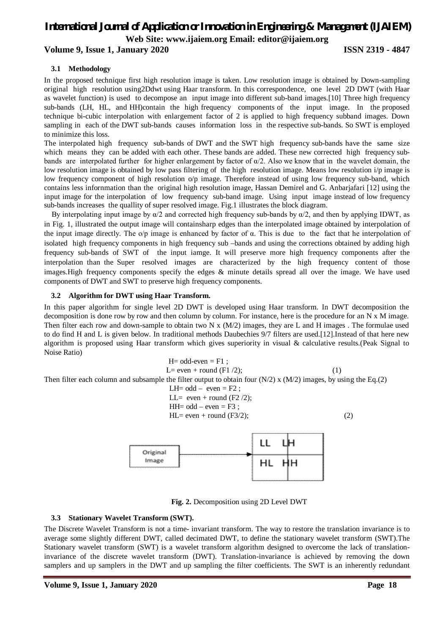## *International Journal of Application or Innovation in Engineering & Management (IJAIEM)*

**Web Site: [www.ijaiem.org](http://www.ijaiem.org) Email: [editor@ijaiem.org](mailto:editor@ijaiem.org)**

### **Volume 9, Issue 1, January 2020 ISSN 2319 - 4847**

#### **3.1 Methodology**

In the proposed technique first high resolution image is taken. Low resolution image is obtained by Down-sampling original high resolution using2Ddwt using Haar transform. In this correspondence, one level 2D DWT (with Haar as wavelet function) is used to decompose an input image into different sub-band images.[10] Three high frequency sub-bands (LH, HL, and HH)contain the high frequency components of the input image. In the proposed technique bi-cubic interpolation with enlargement factor of 2 is applied to high frequency subband images. Down sampling in each of the DWT sub-bands causes information loss in the respective sub-bands. So SWT is employed to minimize this loss.

The interpolated high frequency sub-bands of DWT and the SWT high frequency sub-bands have the same size which means they can be added with each other. These bands are added. These new corrected high frequency subbands are interpolated further for higher enlargement by factor of  $\alpha/2$ . Also we know that in the wavelet domain, the low resolution image is obtained by low pass filtering of the high resolution image. Means low resolution i/p image is low frequency component of high resolution  $\alpha$ /p image. Therefore instead of using low frequency sub-band, which contains less infornmation than the original high resolution image, Hassan Demirel and G. Anbarjafari [12] using the input image for the interpolation of low frequency sub-band image. Using input image instead of low frequency sub-bands increases the quallity of super resolved image. Fig.1 illustrates the block diagram.

By interpolating input image by  $\alpha/2$  and corrected high frequency sub-bands by  $\alpha/2$ , and then by applying IDWT, as in Fig. 1, illustrated the output image will containsharp edges than the interpolated image obtained by interpolation of the input image directly. The o/p image is enhanced by factor of  $\alpha$ . This is due to the fact that he interpolation of isolated high frequency components in high frequency sub –bands and using the corrections obtained by adding high frequency sub-bands of SWT of the input iamge. It will preserve more high frequency components after the interpolation than the Super resolved images are characterized by the high frequency content of those images.High frequency components specify the edges & minute details spread all over the image. We have used components of DWT and SWT to preserve high frequency components.

#### **3.2 Algorithm for DWT using Haar Transform.**

In this paper algorithm for single level 2D DWT is developed using Haar transform. In DWT decomposition the decomposition is done row by row and then column by column. For instance, here is the procedure for an N x M image. Then filter each row and down-sample to obtain two N x  $(M/2)$  images, they are L and H images. The formulae used to do find H and L is given below. In traditional methods Daubechies 9/7 filters are used.[12].Instead of that here new algorithm is proposed using Haar transform which gives superiority in visual & calculative results.(Peak Signal to Noise Ratio)

$$
H= odd-even = F1 ;
$$
\n
$$
L= even + round (F1 / 2);
$$
\n(1)\n  
\nThen filter each column and subsample the filter output to obtain four (N/2) x (M/2) images, by using the Eq.(2)\n
$$
LH= odd - even = F2 ;
$$
\n
$$
LL= even + round (F2 / 2);
$$
\n
$$
HH= odd - even = F3 ;
$$
\n(2)\n
$$
LH= even + round (F3 / 2);
$$
\n(3)



**Fig. 2.** Decomposition using 2D Level DWT

#### **3.3 Stationary Wavelet Transform (SWT).**

The Discrete Wavelet Transform is not a time- invariant transform. The way to restore the translation invariance is to average some slightly different DWT, called decimated DWT, to define the stationary wavelet transform (SWT).The Stationary wavelet transform (SWT) is a wavelet transform algorithm designed to overcome the lack of translationinvariance of the discrete wavelet transform (DWT). Translation-invariance is achieved by removing the down samplers and up samplers in the DWT and up sampling the filter coefficients. The SWT is an inherently redundant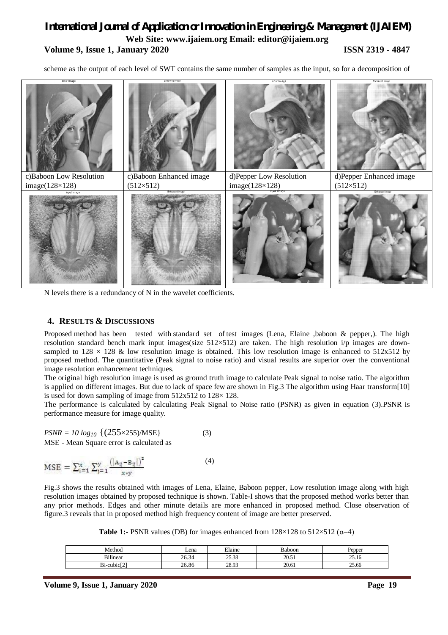### *International Journal of Application or Innovation in Engineering & Management (IJAIEM)* **Web Site: [www.ijaiem.org](http://www.ijaiem.org) Email: [editor@ijaiem.org](mailto:editor@ijaiem.org) Volume 9, Issue 1, January 2020 ISSN 2319 - 4847**

scheme as the output of each level of SWT contains the same number of samples as the input, so for a decomposition of



N levels there is a redundancy of N in the wavelet coefficients.

#### **4. RESULTS & DISCUSSIONS**

Proposed method has been tested with standard set of test images (Lena, Elaine ,baboon & pepper,). The high resolution standard bench mark input images(size  $512\times512$ ) are taken. The high resolution i/p images are downsampled to  $128 \times 128$  & low resolution image is obtained. This low resolution image is enhanced to  $512x512$  by proposed method. The quantitative (Peak signal to noise ratio) and visual results are superior over the conventional image resolution enhancement techniques.

The original high resolution image is used as ground truth image to calculate Peak signal to noise ratio. The algorithm is applied on different images. But due to lack of space few are shown in Fig.3 The algorithm using Haar transform[10] is used for down sampling of image from  $512x512$  to  $128 \times 128$ .

The performance is calculated by calculating Peak Signal to Noise ratio (PSNR) as given in equation (3).PSNR is performance measure for image quality.

$$
PSNR = 10 \log_{10} \{ (255 \times 255)/MSE \}
$$
  
MSE - Mean Square error is calculated as (3)

$$
MSE = \sum_{i=1}^{x} \sum_{j=1}^{y} \frac{(|A_{ij} - B_{ij}|)^2}{x \cdot v}
$$
(4)

Fig.3 shows the results obtained with images of Lena, Elaine, Baboon pepper, Low resolution image along with high resolution images obtained by proposed technique is shown. Table-I shows that the proposed method works better than any prior methods. Edges and other minute details are more enhanced in proposed method. Close observation of figure.3 reveals that in proposed method high frequency content of image are better preserved.

**Table 1:-** PSNR values (DB) for images enhanced from  $128 \times 128$  to  $512 \times 512$  ( $\alpha=4$ )

| Method                                               | Lena  | Elaine | <b>Baboon</b>               | Pepper        |
|------------------------------------------------------|-------|--------|-----------------------------|---------------|
| <b>Bilinear</b>                                      | 26.34 | 25.38  | 20.51<br>20. <sub>2</sub> 1 | 2516<br>29.IU |
| $\lceil$ -cubic $\lceil$ <sup>2</sup><br>D.<br>o 1-′ | 26.86 | 28.93  | 20.61                       | 25.66         |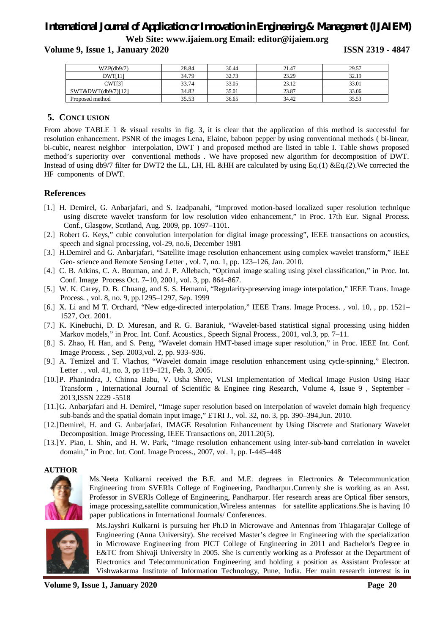### *International Journal of Application or Innovation in Engineering & Management (IJAIEM)* **Web Site: [www.ijaiem.org](http://www.ijaiem.org) Email: [editor@ijaiem.org](mailto:editor@ijaiem.org)**

**Volume 9, Issue 1, January 2020 ISSN 2319 - 4847**

| WZP(db9/7)         | 28.84 | 30.44 | 21.47 | 29.57 |
|--------------------|-------|-------|-------|-------|
| DWT[11]            | 34.79 | 32.73 | 23.29 | 32.19 |
| CWT[3              | 33.74 | 33.05 | 23.12 | 33.01 |
| SWT&DWT(db9/7)[12] | 34.82 | 35.01 | 23.87 | 33.06 |
| Proposed method    | 35.53 | 36.65 | 34.42 | 35.53 |

### **5. CONCLUSION**

From above TABLE 1 & visual results in fig. 3, it is clear that the application of this method is successful for resolution enhancement. PSNR of the images Lena, Elaine, baboon pepper by using conventional methods ( bi-linear, bi-cubic, nearest neighbor interpolation, DWT ) and proposed method are listed in table I. Table shows proposed method's superiority over conventional methods . We have proposed new algorithm for decomposition of DWT. Instead of using db9/7 filter for DWT2 the LL, LH, HL &HH are calculated by using Eq.(1) &Eq.(2).We corrected the HF components of DWT.

#### **References**

- [1.] H. Demirel, G. Anbarjafari, and S. Izadpanahi, "Improved motion-based localized super resolution technique using discrete wavelet transform for low resolution video enhancement," in Proc. 17th Eur. Signal Process. Conf., Glasgow, Scotland, Aug. 2009, pp. 1097–1101.
- [2.] Robert G. Keys," cubic convolution interpolation for digital image processing", IEEE transactions on acoustics, speech and signal processing, vol-29, no.6, December 1981
- [3.] H.Demirel and G. Anbarjafari, "Satellite image resolution enhancement using complex wavelet transform," IEEE Geo- science and Remote Sensing Letter , vol. 7, no. 1, pp. 123–126, Jan. 2010.
- [4.] C. B. Atkins, C. A. Bouman, and J. P. Allebach, "Optimal image scaling using pixel classification," in Proc. Int. Conf. Image Process Oct. 7–10, 2001, vol. 3, pp. 864–867.
- [5.] W. K. Carey, D. B. Chuang, and S. S. Hemami, "Regularity-preserving image interpolation," IEEE Trans. Image Process. , vol. 8, no. 9, pp.1295–1297, Sep. 1999
- [6.] X. Li and M T. Orchard, "New edge-directed interpolation," IEEE Trans. Image Process. , vol. 10, , pp. 1521– 1527, Oct. 2001.
- [7.] K. Kinebuchi, D. D. Muresan, and R. G. Baraniuk, "Wavelet-based statistical signal processing using hidden Markov models," in Proc. Int. Conf. Acoustics., Speech Signal Process., 2001, vol.3, pp. 7–11.
- [8.] S. Zhao, H. Han, and S. Peng, "Wavelet domain HMT-based image super resolution," in Proc. IEEE Int. Conf. Image Process. , Sep. 2003,vol. 2, pp. 933–936.
- [9.] A. Temizel and T. Vlachos, "Wavelet domain image resolution enhancement using cycle-spinning," Electron. Letter . , vol. 41, no. 3, pp 119–121, Feb. 3, 2005.
- [10.]P. Phanindra, J. Chinna Babu, V. Usha Shree, VLSI Implementation of Medical Image Fusion Using Haar Transform , International Journal of Scientific & Enginee ring Research, Volume 4, Issue 9 , September - 2013,ISSN 2229 -5518
- [11.]G. Anbarjafari and H. Demirel, "Image super resolution based on interpolation of wavelet domain high frequency sub-bands and the spatial domain input image," ETRI J., vol. 32, no. 3, pp. 390–394,Jun. 2010.
- [12.]Demirel, H. and G. Anbarjafari, IMAGE Resolution Enhancement by Using Discrete and Stationary Wavelet Decomposition. Image Processing, IEEE Transactions on, 2011.20(5).
- [13.]Y. Piao, I. Shin, and H. W. Park, "Image resolution enhancement using inter-sub-band correlation in wavelet domain," in Proc. Int. Conf. Image Process., 2007, vol. 1, pp. I-445–448

#### **AUTHOR**



Ms.Neeta Kulkarni received the B.E. and M.E. degrees in Electronics & Telecommunication Engineering from SVERIs College of Engineering, Pandharpur.Currenly she is working as an Asst. Professor in SVERIs College of Engineering, Pandharpur. Her research areas are Optical fiber sensors, image processing,satellite communication,Wireless antennas for satellite applications.She is having 10 paper publications in International Journals/ Conferences.



Ms.Jayshri Kulkarni is pursuing her Ph.D in Microwave and Antennas from Thiagarajar College of Engineering (Anna University). She received Master's degree in Engineering with the specialization in Microwave Engineering from PICT College of Engineering in 2011 and Bachelor's Degree in E&TC from Shivaji University in 2005. She is currently working as a Professor at the Department of Electronics and Telecommunication Engineering and holding a position as Assistant Professor at Vishwakarma Institute of Information Technology, Pune, India. Her main research interest is in